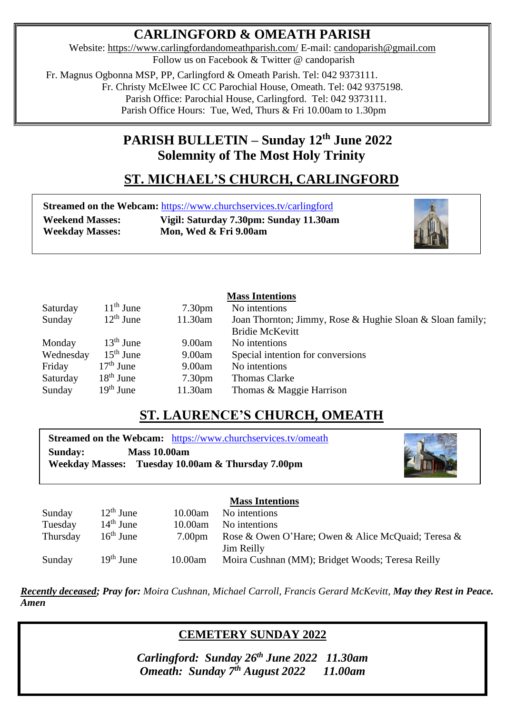### **CARLINGFORD & OMEATH PARISH**

Website:<https://www.carlingfordandomeathparish.com/> E-mail: [candoparish@gmail.com](mailto:candoparish@gmail.com) Follow us on Facebook & Twitter @ candoparish

 Fr. Magnus Ogbonna MSP, PP, Carlingford & Omeath Parish. Tel: 042 9373111. Fr. Christy McElwee IC CC Parochial House, Omeath. Tel: 042 9375198. Parish Office: Parochial House, Carlingford. Tel: 042 9373111. Parish Office Hours: Tue, Wed, Thurs & Fri 10.00am to 1.30pm

### **PARISH BULLETIN – Sunday 12th June 2022 Solemnity of The Most Holy Trinity**

# **ST. MICHAEL'S CHURCH, CARLINGFORD**

**Streamed on the Webcam:** <https://www.churchservices.tv/carlingford>

**Weekend Masses: Vigil: Saturday 7.30pm: Sunday 11.30am Weekday Masses: Mon, Wed & Fri 9.00am**



| <b>Mass Intentions</b> |                |                    |                                                           |  |
|------------------------|----------------|--------------------|-----------------------------------------------------------|--|
| Saturday               | $11th$ June    | 7.30 <sub>pm</sub> | No intentions                                             |  |
| Sunday                 | $12^{th}$ June | 11.30am            | Joan Thornton; Jimmy, Rose & Hughie Sloan & Sloan family; |  |
|                        |                |                    | <b>Bridie McKevitt</b>                                    |  |
| Monday                 | $13th$ June    | 9.00am             | No intentions                                             |  |
| Wednesday              | $15th$ June    | 9.00am             | Special intention for conversions                         |  |
| Friday                 | $17th$ June    | 9.00am             | No intentions                                             |  |
| Saturday               | $18th$ June    | 7.30 <sub>pm</sub> | Thomas Clarke                                             |  |
| Sunday                 | $19th$ June    | 11.30am            | Thomas & Maggie Harrison                                  |  |

## **ST. LAURENCE'S CHURCH, OMEATH**

**Streamed on the Webcam:** <https://www.churchservices.tv/omeath> **Sunday: Mass 10.00am Weekday Masses: Tuesday 10.00am & Thursday 7.00pm**



|          |             |                    | <b>Mass Intentions</b>                             |
|----------|-------------|--------------------|----------------------------------------------------|
| Sunday   | $12th$ June | 10.00am            | No intentions                                      |
| Tuesday  | $14th$ June | 10.00am            | No intentions                                      |
| Thursday | $16th$ June | 7.00 <sub>pm</sub> | Rose & Owen O'Hare; Owen & Alice McQuaid; Teresa & |
|          |             |                    | Jim Reilly                                         |
| Sunday   | $19th$ June | 10.00am            | Moira Cushnan (MM); Bridget Woods; Teresa Reilly   |

*Recently deceased; Pray for: Moira Cushnan, Michael Carroll, Francis Gerard McKevitt, May they Rest in Peace.*   *Amen* 

### **CEMETERY SUNDAY 2022**

*Omeath: Sunday 7<sup>th</sup> August 2022* **11.00am** *Carlingford: Sunday 26th June 2022 11.30am*